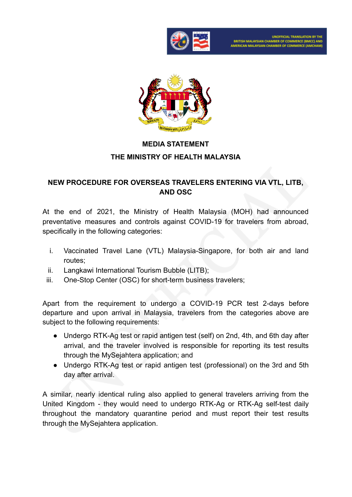

**UNOFFICIAL TRANSLATION BY THE** .<br>ITISH MALAYSIAN CHAMBER OF COMMERCE (BMCC) AND<br>ERICAN MALAYSIAN CHAMBER OF COMMERCE (AMCHAM)



## **MEDIA STATEMENT THE MINISTRY OF HEALTH MALAYSIA**

## **NEW PROCEDURE FOR OVERSEAS TRAVELERS ENTERING VIA VTL, LITB, AND OSC**

At the end of 2021, the Ministry of Health Malaysia (MOH) had announced preventative measures and controls against COVID-19 for travelers from abroad, specifically in the following categories:

- i. Vaccinated Travel Lane (VTL) Malaysia-Singapore, for both air and land routes;
- ii. Langkawi International Tourism Bubble (LITB);
- iii. One-Stop Center (OSC) for short-term business travelers;

Apart from the requirement to undergo a COVID-19 PCR test 2-days before departure and upon arrival in Malaysia, travelers from the categories above are subject to the following requirements:

- Undergo RTK-Ag test or rapid antigen test (self) on 2nd, 4th, and 6th day after arrival, and the traveler involved is responsible for reporting its test results through the MySejahtera application; and
- Undergo RTK-Ag test or rapid antigen test (professional) on the 3rd and 5th day after arrival.

A similar, nearly identical ruling also applied to general travelers arriving from the United Kingdom - they would need to undergo RTK-Ag or RTK-Ag self-test daily throughout the mandatory quarantine period and must report their test results through the MySejahtera application.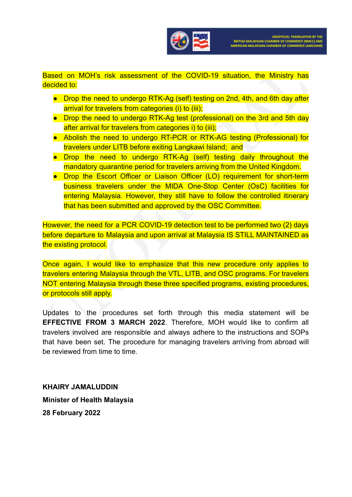

Based on MOH's risk assessment of the COVID-19 situation, the Ministry has decided to:

- Drop the need to undergo RTK-Ag (self) testing on 2nd, 4th, and 6th day after arrival for travelers from categories (i) to (iii);
- Drop the need to undergo RTK-Ag test (professional) on the 3rd and 5th day after arrival for travelers from categories i) to (iii);
- Abolish the need to undergo RT-PCR or RTK-AG testing (Professional) for travelers under LITB before exiting Langkawi Island; and
- Drop the need to undergo RTK-Ag (self) testing daily throughout the mandatory quarantine period for travelers arriving from the United Kingdom.
- Drop the Escort Officer or Liaison Officer (LO) requirement for short-term business travelers under the MIDA One-Stop Center (OsC) facilities for entering Malaysia. However, they still have to follow the controlled itinerary that has been submitted and approved by the OSC Committee.

However, the need for a PCR COVID-19 detection test to be performed two (2) days before departure to Malaysia and upon arrival at Malaysia IS STILL MAINTAINED as the existing protocol.

Once again, I would like to emphasize that this new procedure only applies to travelers entering Malaysia through the VTL, LITB, and OSC programs. For travelers NOT entering Malaysia through these three specified programs, existing procedures, or protocols still apply.

Updates to the procedures set forth through this media statement will be **EFFECTIVE FROM 3 MARCH 2022**. Therefore, MOH would like to confirm all travelers involved are responsible and always adhere to the instructions and SOPs that have been set. The procedure for managing travelers arriving from abroad will be reviewed from time to time.

**KHAIRY JAMALUDDIN Minister of Health Malaysia 28 February 2022**